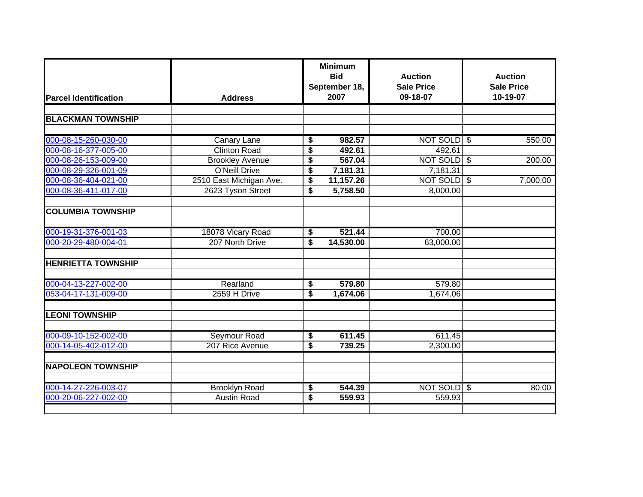|                              |                         |                                   | <b>Minimum</b><br><b>Bid</b> | <b>Auction</b>    | <b>Auction</b>                      |
|------------------------------|-------------------------|-----------------------------------|------------------------------|-------------------|-------------------------------------|
|                              | <b>Address</b>          |                                   | September 18,                | <b>Sale Price</b> | <b>Sale Price</b>                   |
| <b>Parcel Identification</b> |                         |                                   | 2007                         | 09-18-07          | 10-19-07                            |
|                              |                         |                                   |                              |                   |                                     |
| <b>BLACKMAN TOWNSHIP</b>     |                         |                                   |                              |                   |                                     |
| 000-08-15-260-030-00         | <b>Canary Lane</b>      | \$                                | 982.57                       | NOT SOLD \$       | 550.00                              |
| 000-08-16-377-005-00         | <b>Clinton Road</b>     | \$                                | 492.61                       | 492.61            |                                     |
| 000-08-26-153-009-00         | <b>Brookley Avenue</b>  | \$                                | 567.04                       | NOT SOLD \$       | 200.00                              |
| 000-08-29-326-001-09         | O'Neill Drive           | \$                                | 7,181.31                     | 7,181.31          |                                     |
| 000-08-36-404-021-00         | 2510 East Michigan Ave. | \$                                | 11,157.26                    | NOT SOLD          | $\sqrt[6]{\frac{1}{2}}$<br>7,000.00 |
| 000-08-36-411-017-00         | 2623 Tyson Street       | \$                                | 5,758.50                     | 8,000.00          |                                     |
| <b>COLUMBIA TOWNSHIP</b>     |                         |                                   |                              |                   |                                     |
|                              |                         |                                   |                              |                   |                                     |
| 000-19-31-376-001-03         | 18078 Vicary Road       | \$                                | 521.44                       | 700.00            |                                     |
| 000-20-29-480-004-01         | 207 North Drive         | $\overline{\mathbf{s}}$           | 14,530.00                    | 63,000.00         |                                     |
| <b>HENRIETTA TOWNSHIP</b>    |                         |                                   |                              |                   |                                     |
| 000-04-13-227-002-00         | Rearland                |                                   | 579.80                       | 579.80            |                                     |
| 053-04-17-131-009-00         | 2559 H Drive            | \$<br>$\overline{\boldsymbol{s}}$ | 1,674.06                     | 1,674.06          |                                     |
|                              |                         |                                   |                              |                   |                                     |
| <b>LEONI TOWNSHIP</b>        |                         |                                   |                              |                   |                                     |
| 000-09-10-152-002-00         | <b>Seymour Road</b>     | \$                                | 611.45                       | 611.45            |                                     |
| 000-14-05-402-012-00         | 207 Rice Avenue         | \$                                | 739.25                       | 2,300.00          |                                     |
| <b>NAPOLEON TOWNSHIP</b>     |                         |                                   |                              |                   |                                     |
|                              |                         |                                   |                              |                   |                                     |
| 000-14-27-226-003-07         | <b>Brooklyn Road</b>    | \$                                | 544.39                       | NOT SOLD \$       | 80.00                               |
| 000-20-06-227-002-00         | <b>Austin Road</b>      | \$                                | 559.93                       | 559.93            |                                     |
|                              |                         |                                   |                              |                   |                                     |